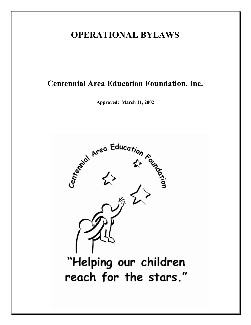# **OPERATIONAL BYLAWS**

# **Centennial Area Education Foundation, Inc.**

**Approved: March 11, 2002**

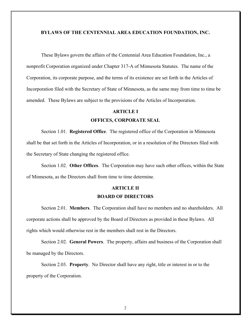#### **BYLAWS OF THE CENTENNIAL AREA EDUCATION FOUNDATION, INC.**

These Bylaws govern the affairs of the Centennial Area Education Foundation, Inc., a nonprofit Corporation organized under Chapter 317-A of Minnesota Statutes. The name of the Corporation, its corporate purpose, and the terms of its existence are set forth in the Articles of Incorporation filed with the Secretary of State of Minnesota, as the same may from time to time be amended. These Bylaws are subject to the provisions of the Articles of Incorporation.

#### **ARTICLE I**

#### **OFFICES, CORPORATE SEAL**

Section 1.01. **Registered Office**. The registered office of the Corporation in Minnesota shall be that set forth in the Articles of Incorporation, or in a resolution of the Directors filed with the Secretary of State changing the registered office.

Section 1.02. **Other Offices**. The Corporation may have such other offices, within the State of Minnesota, as the Directors shall from time to time determine.

### **ARTICLE II BOARD OF DIRECTORS**

Section 2.01. **Members**. The Corporation shall have no members and no shareholders. All corporate actions shall be approved by the Board of Directors as provided in these Bylaws. All rights which would otherwise rest in the members shall rest in the Directors.

Section 2.02. **General Powers**. The property, affairs and business of the Corporation shall be managed by the Directors.

Section 2.03. **Property**. No Director shall have any right, title or interest in or to the property of the Corporation.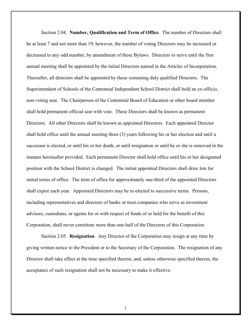Section 2.04. **Number, Qualification and Term of Office**. The number of Directors shall be at least 7 and not more than 19; however, the number of voting Directors may be increased or decreased to any odd number, by amendment of these Bylaws. Directors to serve until the first annual meeting shall be appointed by the initial Directors named in the Articles of Incorporation. Thereafter, all directors shall be appointed by those remaining duly qualified Directors. The Superintendent of Schools of the Centennial Independent School District shall hold an ex-officio, non-voting seat. The Chairperson of the Centennial Board of Education or other board member shall hold permanent official seat with vote. These Directors shall be known as permanent Directors. All other Directors shall be known as appointed Directors. Each appointed Director shall hold office until the annual meeting three (3) years following his or her election and until a successor is elected, or until his or her death, or until resignation or until he or she is removed in the manner hereinafter provided. Each permanent Director shall hold office until his or her designated position with the School District is changed. The initial appointed Directors shall draw lots for initial terms of office. The term of office for approximately one-third of the appointed Directors shall expire each year. Appointed Directors may be re-elected to successive terms. Persons, including representatives and directors of banks or trust companies who serve as investment advisors, custodians, or agents for or with respect of funds of or held for the benefit of this Corporation, shall never constitute more than one-half of the Directors of this Corporation.

Section 2.05. **Resignation**. Any Director of the Corporation may resign at any time by giving written notice to the President or to the Secretary of the Corporation. The resignation of any Director shall take effect at the time specified therein; and, unless otherwise specified therein, the acceptance of such resignation shall not be necessary to make it effective.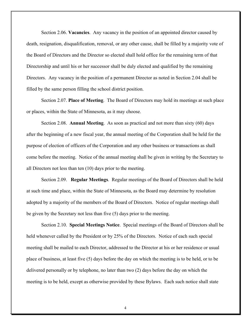Section 2.06. **Vacancies**. Any vacancy in the position of an appointed director caused by death, resignation, disqualification, removal, or any other cause, shall be filled by a majority vote of the Board of Directors and the Director so elected shall hold office for the remaining term of that Directorship and until his or her successor shall be duly elected and qualified by the remaining Directors. Any vacancy in the position of a permanent Director as noted in Section 2.04 shall be filled by the same person filling the school district position.

Section 2.07. **Place of Meeting**. The Board of Directors may hold its meetings at such place or places, within the State of Minnesota, as it may choose.

Section 2.08. **Annual Meeting**. As soon as practical and not more than sixty (60) days after the beginning of a new fiscal year, the annual meeting of the Corporation shall be held for the purpose of election of officers of the Corporation and any other business or transactions as shall come before the meeting. Notice of the annual meeting shall be given in writing by the Secretary to all Directors not less than ten (10) days prior to the meeting.

Section 2.09. **Regular Meetings**. Regular meetings of the Board of Directors shall be held at such time and place, within the State of Minnesota, as the Board may determine by resolution adopted by a majority of the members of the Board of Directors. Notice of regular meetings shall be given by the Secretary not less than five (5) days prior to the meeting.

Section 2.10. **Special Meetings Notice**. Special meetings of the Board of Directors shall be held whenever called by the President or by 25% of the Directors. Notice of each such special meeting shall be mailed to each Director, addressed to the Director at his or her residence or usual place of business, at least five (5) days before the day on which the meeting is to be held, or to be delivered personally or by telephone, no later than two (2) days before the day on which the meeting is to be held, except as otherwise provided by these Bylaws. Each such notice shall state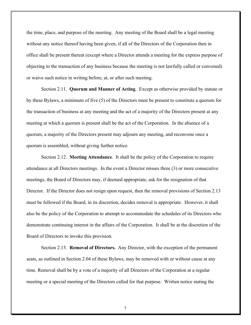the time, place, and purpose of the meeting. Any meeting of the Board shall be a legal meeting without any notice thereof having been given, if all of the Directors of the Corporation then in office shall be present thereat (except where a Director attends a meeting for the express purpose of objecting to the transaction of any business because the meeting is not lawfully called or convened) or waive such notice in writing before, at, or after such meeting.

Section 2.11. **Quorum and Manner of Acting**. Except as otherwise provided by statute or by these Bylaws, a minimum of five (5) of the Directors must be present to constitute a quorum for the transaction of business at any meeting and the act of a majority of the Directors present at any meeting at which a quorum is present shall be the act of the Corporation. In the absence of a quorum, a majority of the Directors present may adjourn any meeting, and reconvene once a quorum is assembled, without giving further notice.

Section 2.12. **Meeting Attendance**. It shall be the policy of the Corporation to require attendance at all Directors meetings. In the event a Director misses three (3) or more consecutive meetings, the Board of Directors may, if deemed appropriate, ask for the resignation of that Director. If the Director does not resign upon request, then the removal provisions of Section 2.13 must be followed if the Board, in its discretion, decides removal is appropriate. However, it shall also be the policy of the Corporation to attempt to accommodate the schedules of its Directors who demonstrate continuing interest in the affairs of the Corporation. It shall be at the discretion of the Board of Directors to invoke this provision.

Section 2.13. **Removal of Directors.** Any Director, with the exception of the permanent seats, as outlined in Section 2.04 of these Bylaws, may be removed with or without cause at any time. Removal shall be by a vote of a majority of all Directors of the Corporation at a regular meeting or a special meeting of the Directors called for that purpose. Written notice stating the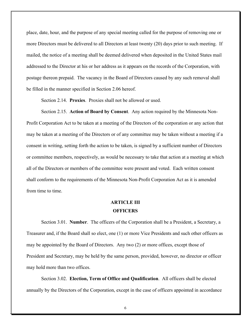place, date, hour, and the purpose of any special meeting called for the purpose of removing one or more Directors must be delivered to all Directors at least twenty (20) days prior to such meeting. If mailed, the notice of a meeting shall be deemed delivered when deposited in the United States mail addressed to the Director at his or her address as it appears on the records of the Corporation, with postage thereon prepaid. The vacancy in the Board of Directors caused by any such removal shall be filled in the manner specified in Section 2.06 hereof.

Section 2.14. **Proxies**. Proxies shall not be allowed or used.

Section 2.15. **Action of Board by Consent**. Any action required by the Minnesota Non-Profit Corporation Act to be taken at a meeting of the Directors of the corporation or any action that may be taken at a meeting of the Directors or of any committee may be taken without a meeting if a consent in writing, setting forth the action to be taken, is signed by a sufficient number of Directors or committee members, respectively, as would be necessary to take that action at a meeting at which all of the Directors or members of the committee were present and voted. Each written consent shall conform to the requirements of the Minnesota Non-Profit Corporation Act as it is amended from time to time.

### **ARTICLE III OFFICERS**

Section 3.01. **Number**. The officers of the Corporation shall be a President, a Secretary, a Treasurer and, if the Board shall so elect, one (1) or more Vice Presidents and such other officers as may be appointed by the Board of Directors. Any two (2) or more offices, except those of President and Secretary, may be held by the same person, provided, however, no director or officer may hold more than two offices.

Section 3.02. **Election, Term of Office and Qualification**. All officers shall be elected annually by the Directors of the Corporation, except in the case of officers appointed in accordance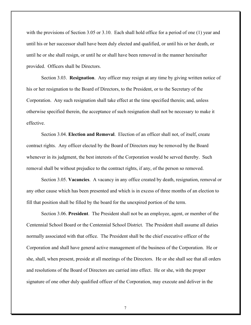with the provisions of Section 3.05 or 3.10. Each shall hold office for a period of one (1) year and until his or her successor shall have been duly elected and qualified, or until his or her death, or until he or she shall resign, or until he or shall have been removed in the manner hereinafter provided. Officers shall be Directors.

Section 3.03. **Resignation**. Any officer may resign at any time by giving written notice of his or her resignation to the Board of Directors, to the President, or to the Secretary of the Corporation. Any such resignation shall take effect at the time specified therein; and, unless otherwise specified therein, the acceptance of such resignation shall not be necessary to make it effective.

Section 3.04. **Election and Removal**. Election of an officer shall not, of itself, create contract rights. Any officer elected by the Board of Directors may be removed by the Board whenever in its judgment, the best interests of the Corporation would be served thereby. Such removal shall be without prejudice to the contract rights, if any, of the person so removed.

Section 3.05. **Vacancies**. A vacancy in any office created by death, resignation, removal or any other cause which has been presented and which is in excess of three months of an election to fill that position shall be filled by the board for the unexpired portion of the term.

Section 3.06. **President**. The President shall not be an employee, agent, or member of the Centennial School Board or the Centennial School District. The President shall assume all duties normally associated with that office. The President shall be the chief executive officer of the Corporation and shall have general active management of the business of the Corporation. He or she, shall, when present, preside at all meetings of the Directors. He or she shall see that all orders and resolutions of the Board of Directors are carried into effect. He or she, with the proper signature of one other duly qualified officer of the Corporation, may execute and deliver in the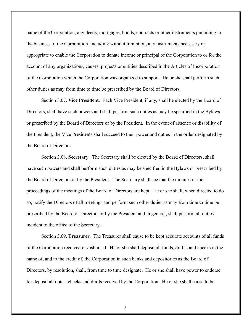name of the Corporation, any deeds, mortgages, bonds, contracts or other instruments pertaining to the business of the Corporation, including without limitation, any instruments necessary or appropriate to enable the Corporation to donate income or principal of the Corporation to or for the account of any organizations, causes, projects or entities described in the Articles of Incorporation of the Corporation which the Corporation was organized to support. He or she shall perform such other duties as may from time to time be prescribed by the Board of Directors.

Section 3.07. **Vice President**. Each Vice President, if any, shall be elected by the Board of Directors, shall have such powers and shall perform such duties as may be specified in the Bylaws or prescribed by the Board of Directors or by the President. In the event of absence or disability of the President, the Vice Presidents shall succeed to their power and duties in the order designated by the Board of Directors.

Section 3.08. **Secretary**. The Secretary shall be elected by the Board of Directors, shall have such powers and shall perform such duties as may be specified in the Bylaws or prescribed by the Board of Directors or by the President. The Secretary shall see that the minutes of the proceedings of the meetings of the Board of Directors are kept. He or she shall, when directed to do so, notify the Directors of all meetings and perform such other duties as may from time to time be prescribed by the Board of Directors or by the President and in general, shall perform all duties incident to the office of the Secretary.

Section 3.09. **Treasurer**. The Treasurer shall cause to be kept accurate accounts of all funds of the Corporation received or disbursed. He or she shall deposit all funds, drafts, and checks in the name of, and to the credit of, the Corporation in such banks and depositories as the Board of Directors, by resolution, shall, from time to time designate. He or she shall have power to endorse for deposit all notes, checks and drafts received by the Corporation. He or she shall cause to be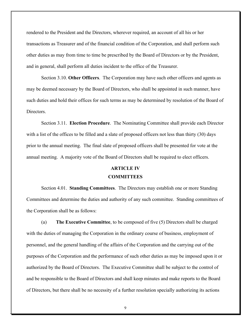rendered to the President and the Directors, wherever required, an account of all his or her transactions as Treasurer and of the financial condition of the Corporation, and shall perform such other duties as may from time to time be prescribed by the Board of Directors or by the President, and in general, shall perform all duties incident to the office of the Treasurer.

Section 3.10. **Other Officers**. The Corporation may have such other officers and agents as may be deemed necessary by the Board of Directors, who shall be appointed in such manner, have such duties and hold their offices for such terms as may be determined by resolution of the Board of **Directors** 

Section 3.11. **Election Procedure**. The Nominating Committee shall provide each Director with a list of the offices to be filled and a slate of proposed officers not less than thirty (30) days prior to the annual meeting. The final slate of proposed officers shall be presented for vote at the annual meeting. A majority vote of the Board of Directors shall be required to elect officers.

### **ARTICLE IV COMMITTEES**

Section 4.01. **Standing Committees**. The Directors may establish one or more Standing Committees and determine the duties and authority of any such committee. Standing committees of the Corporation shall be as follows:

(a) **The Executive Committee**, to be composed of five (5) Directors shall be charged with the duties of managing the Corporation in the ordinary course of business, employment of personnel, and the general handling of the affairs of the Corporation and the carrying out of the purposes of the Corporation and the performance of such other duties as may be imposed upon it or authorized by the Board of Directors. The Executive Committee shall be subject to the control of and be responsible to the Board of Directors and shall keep minutes and make reports to the Board of Directors, but there shall be no necessity of a further resolution specially authorizing its actions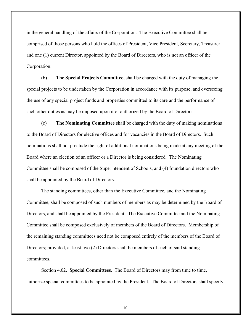in the general handling of the affairs of the Corporation. The Executive Committee shall be comprised of those persons who hold the offices of President, Vice President, Secretary, Treasurer and one (1) current Director, appointed by the Board of Directors, who is not an officer of the Corporation.

(b) **The Special Projects Committee,** shall be charged with the duty of managing the special projects to be undertaken by the Corporation in accordance with its purpose, and overseeing the use of any special project funds and properties committed to its care and the performance of such other duties as may be imposed upon it or authorized by the Board of Directors.

(c) **The Nominating Committee** shall be charged with the duty of making nominations to the Board of Directors for elective offices and for vacancies in the Board of Directors. Such nominations shall not preclude the right of additional nominations being made at any meeting of the Board where an election of an officer or a Director is being considered. The Nominating Committee shall be composed of the Superintendent of Schools, and (4) foundation directors who shall be appointed by the Board of Directors.

The standing committees, other than the Executive Committee, and the Nominating Committee, shall be composed of such numbers of members as may be determined by the Board of Directors, and shall be appointed by the President. The Executive Committee and the Nominating Committee shall be composed exclusively of members of the Board of Directors. Membership of the remaining standing committees need not be composed entirely of the members of the Board of Directors; provided, at least two (2) Directors shall be members of each of said standing committees.

Section 4.02. **Special Committees**. The Board of Directors may from time to time, authorize special committees to be appointed by the President. The Board of Directors shall specify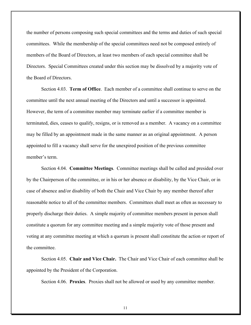the number of persons composing such special committees and the terms and duties of such special committees. While the membership of the special committees need not be composed entirely of members of the Board of Directors, at least two members of each special committee shall be Directors. Special Committees created under this section may be dissolved by a majority vote of the Board of Directors.

Section 4.03. **Term of Office**. Each member of a committee shall continue to serve on the committee until the next annual meeting of the Directors and until a successor is appointed. However, the term of a committee member may terminate earlier if a committee member is terminated, dies, ceases to qualify, resigns, or is removed as a member. A vacancy on a committee may be filled by an appointment made in the same manner as an original appointment. A person appointed to fill a vacancy shall serve for the unexpired position of the previous committee member's term.

Section 4.04. **Committee Meetings**. Committee meetings shall be called and presided over by the Chairperson of the committee, or in his or her absence or disability, by the Vice Chair, or in case of absence and/or disability of both the Chair and Vice Chair by any member thereof after reasonable notice to all of the committee members. Committees shall meet as often as necessary to properly discharge their duties. A simple majority of committee members present in person shall constitute a quorum for any committee meeting and a simple majority vote of those present and voting at any committee meeting at which a quorum is present shall constitute the action or report of the committee.

Section 4.05. **Chair and Vice Chair.** The Chair and Vice Chair of each committee shall be appointed by the President of the Corporation.

Section 4.06. **Proxies**. Proxies shall not be allowed or used by any committee member.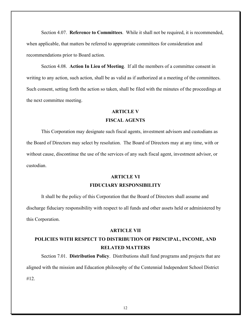Section 4.07. **Reference to Committees**. While it shall not be required, it is recommended, when applicable, that matters be referred to appropriate committees for consideration and recommendations prior to Board action.

Section 4.08. **Action In Lieu of Meeting**. If all the members of a committee consent in writing to any action, such action, shall be as valid as if authorized at a meeting of the committees. Such consent, setting forth the action so taken, shall be filed with the minutes of the proceedings at the next committee meeting.

#### **ARTICLE V**

#### **FISCAL AGENTS**

This Corporation may designate such fiscal agents, investment advisors and custodians as the Board of Directors may select by resolution. The Board of Directors may at any time, with or without cause, discontinue the use of the services of any such fiscal agent, investment advisor, or custodian.

### **ARTICLE VI FIDUCIARY RESPONSIBILITY**

It shall be the policy of this Corporation that the Board of Directors shall assume and discharge fiduciary responsibility with respect to all funds and other assets held or administered by this Corporation.

### **ARTICLE VII**

### **POLICIES WITH RESPECT TO DISTRIBUTION OF PRINCIPAL, INCOME, AND RELATED MATTERS**

Section 7.01. **Distribution Policy**. Distributions shall fund programs and projects that are aligned with the mission and Education philosophy of the Centennial Independent School District #12.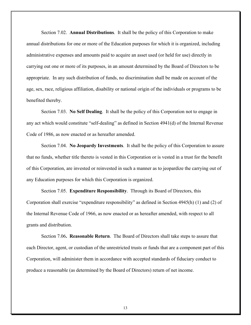Section 7.02. **Annual Distributions**. It shall be the policy of this Corporation to make annual distributions for one or more of the Education purposes for which it is organized, including administrative expenses and amounts paid to acquire an asset used (or held for use) directly in carrying out one or more of its purposes, in an amount determined by the Board of Directors to be appropriate. In any such distribution of funds, no discrimination shall be made on account of the age, sex, race, religious affiliation, disability or national origin of the individuals or programs to be benefited thereby.

Section 7.03. **No Self Dealing**. It shall be the policy of this Corporation not to engage in any act which would constitute "self-dealing" as defined in Section 4941(d) of the Internal Revenue Code of 1986, as now enacted or as hereafter amended.

Section 7.04. **No Jeopardy Investments**. It shall be the policy of this Corporation to assure that no funds, whether title thereto is vested in this Corporation or is vested in a trust for the benefit of this Corporation, are invested or reinvested in such a manner as to jeopardize the carrying out of any Education purposes for which this Corporation is organized.

Section 7.05. **Expenditure Responsibility**. Through its Board of Directors, this Corporation shall exercise "expenditure responsibility" as defined in Section 4945(h) (1) and (2) of the Internal Revenue Code of 1966, as now enacted or as hereafter amended, with respect to all grants and distribution.

Section 7.06**. Reasonable Return**. The Board of Directors shall take steps to assure that each Director, agent, or custodian of the unrestricted trusts or funds that are a component part of this Corporation, will administer them in accordance with accepted standards of fiduciary conduct to produce a reasonable (as determined by the Board of Directors) return of net income.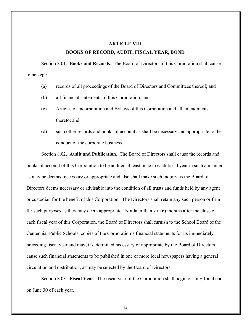### **ARTICLE VIII BOOKS OF RECORD, AUDIT, FISCAL YEAR, BOND**

Section 8.01. **Books and Records**. The Board of Directors of this Corporation shall cause to be kept:

- (a) records of all proceedings of the Board of Directors and Committees thereof; and
- (b) all financial statements of this Corporation; and
- (c) Articles of Incorporation and Bylaws of this Corporation and all amendments thereto; and
- (d) such other records and books of account as shall be necessary and appropriate to the conduct of the corporate business.

Section 8.02. **Audit and Publication**. The Board of Directors shall cause the records and books of account of this Corporation to be audited at least once in each fiscal year in such a manner as may be deemed necessary or appropriate and also shall make such inquiry as the Board of Directors deems necessary or advisable into the condition of all trusts and funds held by any agent or custodian for the benefit of this Corporation. The Directors shall retain any such person or firm fur such purposes as they may deem appropriate. Not later than six (6) months after the close of each fiscal year of this Corporation, the Board of Directors shall furnish to the School Board of the Centennial Public Schools, copies of the Corporation's financial statements for its immediately preceding fiscal year and may, if determined necessary or appropriate by the Board of Directors, cause such financial statements to be published in one or more local newspapers having a general circulation and distribution, as may be selected by the Board of Directors.

Section 8.03. **Fiscal Year**. The fiscal year of the Corporation shall begin on July 1 and end on June 30 of each year.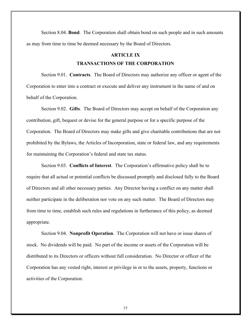Section 8.04. **Bond**. The Corporation shall obtain bond on such people and in such amounts as may from time to time be deemed necessary by the Board of Directors.

### **ARTICLE IX**

#### **TRANSACTIONS OF THE CORPORATION**

Section 9.01. **Contracts**. The Board of Directors may authorize any officer or agent of the Corporation to enter into a contract or execute and deliver any instrument in the name of and on behalf of the Corporation.

Section 9.02. **Gifts**. The Board of Directors may accept on behalf of the Corporation any contribution, gift, bequest or devise for the general purpose or for a specific purpose of the Corporation. The Board of Directors may make gifts and give charitable contributions that are not prohibited by the Bylaws, the Articles of Incorporation, state or federal law, and any requirements for maintaining the Corporation's federal and state tax status.

Section 9.03. **Conflicts of Interest**. The Corporation's affirmative policy shall be to require that all actual or potential conflicts be discussed promptly and disclosed fully to the Board of Directors and all other necessary parties. Any Director having a conflict on any matter shall neither participate in the deliberation nor vote on any such matter. The Board of Directors may from time to time, establish such rules and regulations in furtherance of this policy, as deemed appropriate.

Section 9.04. **Nonprofit Operation**. The Corporation will not have or issue shares of stock. No dividends will be paid. No part of the income or assets of the Corporation will be distributed to its Directors or officers without full consideration. No Director or officer of the Corporation has any vested right, interest or privilege in or to the assets, property, functions or activities of the Corporation.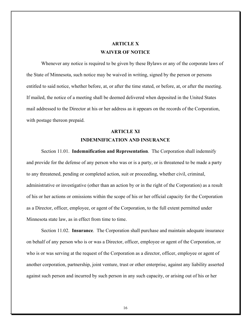### **ARTICLE X WAIVER OF NOTICE**

Whenever any notice is required to be given by these Bylaws or any of the corporate laws of the State of Minnesota, such notice may be waived in writing, signed by the person or persons entitled to said notice, whether before, at, or after the time stated, or before, at, or after the meeting. If mailed, the notice of a meeting shall be deemed delivered when deposited in the United States mail addressed to the Director at his or her address as it appears on the records of the Corporation, with postage thereon prepaid.

## **ARTICLE XI INDEMNIFICATION AND INSURANCE**

Section 11.01. **Indemnification and Representation**. The Corporation shall indemnify and provide for the defense of any person who was or is a party, or is threatened to be made a party to any threatened, pending or completed action, suit or proceeding, whether civil, criminal, administrative or investigative (other than an action by or in the right of the Corporation) as a result of his or her actions or omissions within the scope of his or her official capacity for the Corporation as a Director, officer, employee, or agent of the Corporation, to the full extent permitted under Minnesota state law, as in effect from time to time.

Section 11.02. **Insurance**. The Corporation shall purchase and maintain adequate insurance on behalf of any person who is or was a Director, officer, employee or agent of the Corporation, or who is or was serving at the request of the Corporation as a director, officer, employee or agent of another corporation, partnership, joint venture, trust or other enterprise, against any liability asserted against such person and incurred by such person in any such capacity, or arising out of his or her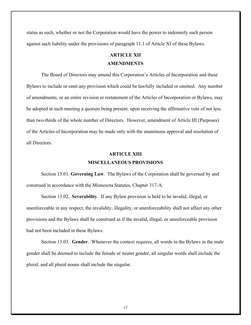status as such, whether or not the Corporation would have the power to indemnify such person against such liability under the provisions of paragraph 11.1 of Article XI of these Bylaws.

# **ARTICLE XII**

### **AMENDMENTS**

The Board of Directors may amend this Corporation's Articles of Incorporation and these Bylaws to include or omit any provision which could be lawfully included or omitted. Any number of amendments, or an entire revision or restatement of the Articles of Incorporation or Bylaws, may be adopted at such meeting a quorum being present, upon receiving the affirmative vote of not less than two-thirds of the whole number of Directors. However, amendment of Article III (Purposes) of the Articles of Incorporation may be made only with the unanimous approval and resolution of all Directors.

## **ARTICLE XIII MISCELLANEOUS PROVISIONS**

Section 13.01. **Governing Law**. The Bylaws of the Corporation shall be governed by and construed in accordance with the Minnesota Statutes, Chapter 317-A.

Section 13.02. **Severability**. If any Bylaw provision is held to be invalid, illegal, or unenforceable in any respect, the invalidity, illegality, or unenforceability shall not affect any other provisions and the Bylaws shall be construed as if the invalid, illegal, or unenforceable provision had not been included in these Bylaws.

Section 13.03. **Gender**. Whenever the context requires, all words in the Bylaws in the male gender shall be deemed to include the female or neuter gender, all singular words shall include the plural, and all plural nouns shall include the singular.